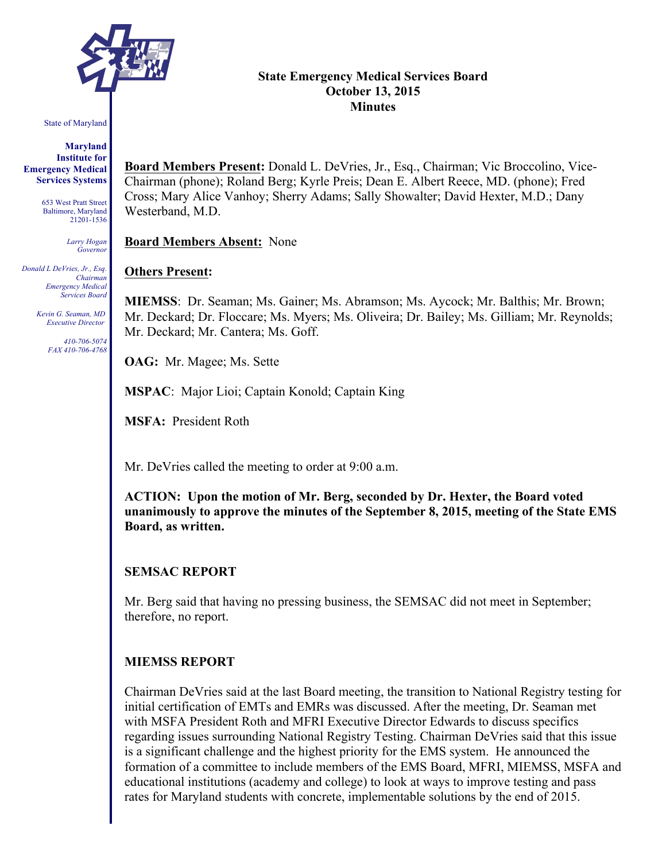

#### State of Maryland

**Maryland Institute for Emergency Medical Services Systems**

> 653 West Pratt Street Baltimore, Maryland 21201-1536

> > *Larry Hogan Governor*

*Donald L DeVries, Jr., Esq. Chairman Emergency Medical Services Board*

> *Kevin G. Seaman, MD Executive Director*

> > *410-706-5074 FAX 410-706-4768*

### **State Emergency Medical Services Board October 13, 2015 Minutes**

**Board Members Present:** Donald L. DeVries, Jr., Esq., Chairman; Vic Broccolino, Vice-Chairman (phone); Roland Berg; Kyrle Preis; Dean E. Albert Reece, MD. (phone); Fred Cross; Mary Alice Vanhoy; Sherry Adams; Sally Showalter; David Hexter, M.D.; Dany Westerband, M.D.

**Board Members Absent:** None

#### **Others Present:**

**MIEMSS**: Dr. Seaman; Ms. Gainer; Ms. Abramson; Ms. Aycock; Mr. Balthis; Mr. Brown; Mr. Deckard; Dr. Floccare; Ms. Myers; Ms. Oliveira; Dr. Bailey; Ms. Gilliam; Mr. Reynolds; Mr. Deckard; Mr. Cantera; Ms. Goff.

**OAG:** Mr. Magee; Ms. Sette

**MSPAC**: Major Lioi; Captain Konold; Captain King

**MSFA:** President Roth

Mr. DeVries called the meeting to order at 9:00 a.m.

**ACTION: Upon the motion of Mr. Berg, seconded by Dr. Hexter, the Board voted unanimously to approve the minutes of the September 8, 2015, meeting of the State EMS Board, as written.**

#### **SEMSAC REPORT**

Mr. Berg said that having no pressing business, the SEMSAC did not meet in September; therefore, no report.

#### **MIEMSS REPORT**

Chairman DeVries said at the last Board meeting, the transition to National Registry testing for initial certification of EMTs and EMRs was discussed. After the meeting, Dr. Seaman met with MSFA President Roth and MFRI Executive Director Edwards to discuss specifics regarding issues surrounding National Registry Testing. Chairman DeVries said that this issue is a significant challenge and the highest priority for the EMS system. He announced the formation of a committee to include members of the EMS Board, MFRI, MIEMSS, MSFA and educational institutions (academy and college) to look at ways to improve testing and pass rates for Maryland students with concrete, implementable solutions by the end of 2015.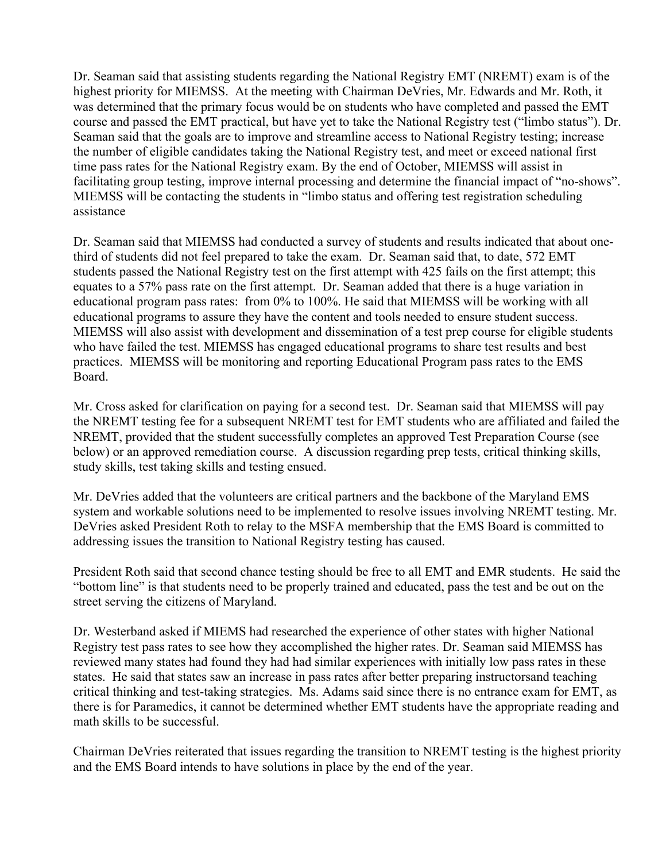Dr. Seaman said that assisting students regarding the National Registry EMT (NREMT) exam is of the highest priority for MIEMSS. At the meeting with Chairman DeVries, Mr. Edwards and Mr. Roth, it was determined that the primary focus would be on students who have completed and passed the EMT course and passed the EMT practical, but have yet to take the National Registry test ("limbo status"). Dr. Seaman said that the goals are to improve and streamline access to National Registry testing; increase the number of eligible candidates taking the National Registry test, and meet or exceed national first time pass rates for the National Registry exam. By the end of October, MIEMSS will assist in facilitating group testing, improve internal processing and determine the financial impact of "no-shows". MIEMSS will be contacting the students in "limbo status and offering test registration scheduling assistance

Dr. Seaman said that MIEMSS had conducted a survey of students and results indicated that about onethird of students did not feel prepared to take the exam. Dr. Seaman said that, to date, 572 EMT students passed the National Registry test on the first attempt with 425 fails on the first attempt; this equates to a 57% pass rate on the first attempt. Dr. Seaman added that there is a huge variation in educational program pass rates: from 0% to 100%. He said that MIEMSS will be working with all educational programs to assure they have the content and tools needed to ensure student success. MIEMSS will also assist with development and dissemination of a test prep course for eligible students who have failed the test. MIEMSS has engaged educational programs to share test results and best practices. MIEMSS will be monitoring and reporting Educational Program pass rates to the EMS Board.

Mr. Cross asked for clarification on paying for a second test. Dr. Seaman said that MIEMSS will pay the NREMT testing fee for a subsequent NREMT test for EMT students who are affiliated and failed the NREMT, provided that the student successfully completes an approved Test Preparation Course (see below) or an approved remediation course. A discussion regarding prep tests, critical thinking skills, study skills, test taking skills and testing ensued.

Mr. DeVries added that the volunteers are critical partners and the backbone of the Maryland EMS system and workable solutions need to be implemented to resolve issues involving NREMT testing. Mr. DeVries asked President Roth to relay to the MSFA membership that the EMS Board is committed to addressing issues the transition to National Registry testing has caused.

President Roth said that second chance testing should be free to all EMT and EMR students. He said the "bottom line" is that students need to be properly trained and educated, pass the test and be out on the street serving the citizens of Maryland.

Dr. Westerband asked if MIEMS had researched the experience of other states with higher National Registry test pass rates to see how they accomplished the higher rates. Dr. Seaman said MIEMSS has reviewed many states had found they had had similar experiences with initially low pass rates in these states. He said that states saw an increase in pass rates after better preparing instructorsand teaching critical thinking and test-taking strategies. Ms. Adams said since there is no entrance exam for EMT, as there is for Paramedics, it cannot be determined whether EMT students have the appropriate reading and math skills to be successful.

Chairman DeVries reiterated that issues regarding the transition to NREMT testing is the highest priority and the EMS Board intends to have solutions in place by the end of the year.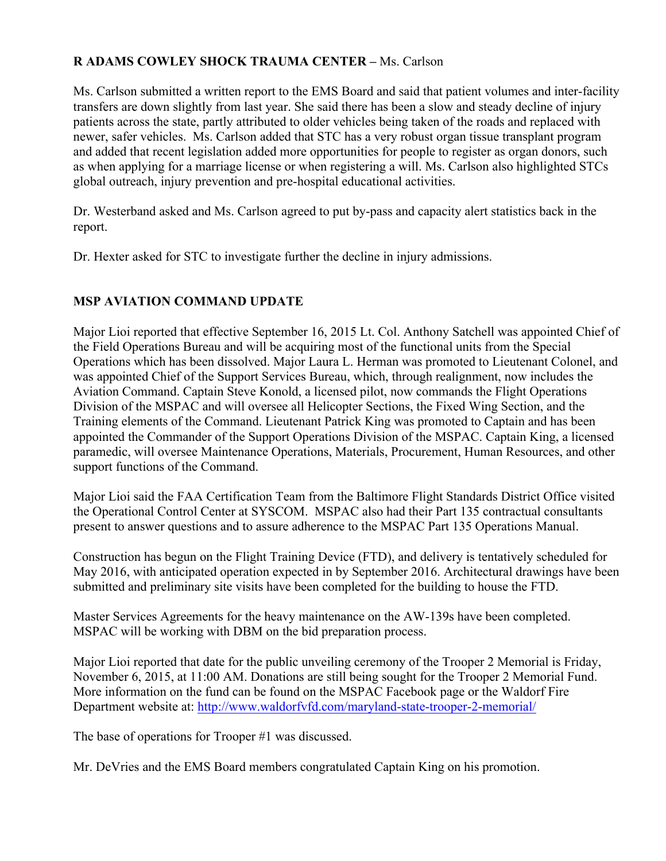# **R ADAMS COWLEY SHOCK TRAUMA CENTER –** Ms. Carlson

Ms. Carlson submitted a written report to the EMS Board and said that patient volumes and inter-facility transfers are down slightly from last year. She said there has been a slow and steady decline of injury patients across the state, partly attributed to older vehicles being taken of the roads and replaced with newer, safer vehicles. Ms. Carlson added that STC has a very robust organ tissue transplant program and added that recent legislation added more opportunities for people to register as organ donors, such as when applying for a marriage license or when registering a will. Ms. Carlson also highlighted STCs global outreach, injury prevention and pre-hospital educational activities.

Dr. Westerband asked and Ms. Carlson agreed to put by-pass and capacity alert statistics back in the report.

Dr. Hexter asked for STC to investigate further the decline in injury admissions.

# **MSP AVIATION COMMAND UPDATE**

Major Lioi reported that effective September 16, 2015 Lt. Col. Anthony Satchell was appointed Chief of the Field Operations Bureau and will be acquiring most of the functional units from the Special Operations which has been dissolved. Major Laura L. Herman was promoted to Lieutenant Colonel, and was appointed Chief of the Support Services Bureau, which, through realignment, now includes the Aviation Command. Captain Steve Konold, a licensed pilot, now commands the Flight Operations Division of the MSPAC and will oversee all Helicopter Sections, the Fixed Wing Section, and the Training elements of the Command. Lieutenant Patrick King was promoted to Captain and has been appointed the Commander of the Support Operations Division of the MSPAC. Captain King, a licensed paramedic, will oversee Maintenance Operations, Materials, Procurement, Human Resources, and other support functions of the Command.

Major Lioi said the FAA Certification Team from the Baltimore Flight Standards District Office visited the Operational Control Center at SYSCOM. MSPAC also had their Part 135 contractual consultants present to answer questions and to assure adherence to the MSPAC Part 135 Operations Manual.

Construction has begun on the Flight Training Device (FTD), and delivery is tentatively scheduled for May 2016, with anticipated operation expected in by September 2016. Architectural drawings have been submitted and preliminary site visits have been completed for the building to house the FTD.

Master Services Agreements for the heavy maintenance on the AW-139s have been completed. MSPAC will be working with DBM on the bid preparation process.

Major Lioi reported that date for the public unveiling ceremony of the Trooper 2 Memorial is Friday, November 6, 2015, at 11:00 AM. Donations are still being sought for the Trooper 2 Memorial Fund. More information on the fund can be found on the MSPAC Facebook page or the Waldorf Fire Department website at: http://www.waldorfvfd.com/maryland-state-trooper-2-memorial/

The base of operations for Trooper #1 was discussed.

Mr. DeVries and the EMS Board members congratulated Captain King on his promotion.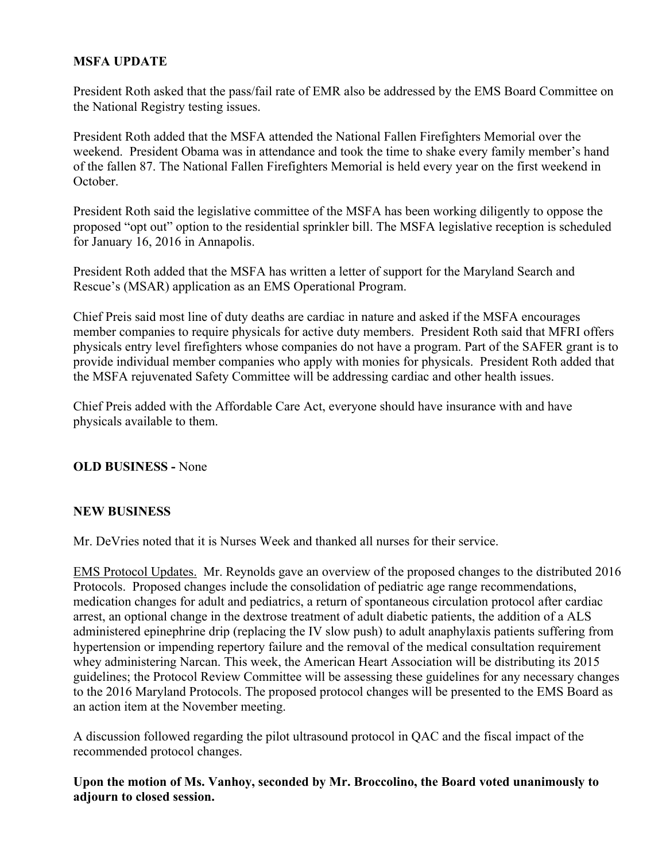# **MSFA UPDATE**

President Roth asked that the pass/fail rate of EMR also be addressed by the EMS Board Committee on the National Registry testing issues.

President Roth added that the MSFA attended the National Fallen Firefighters Memorial over the weekend. President Obama was in attendance and took the time to shake every family member's hand of the fallen 87. The National Fallen Firefighters Memorial is held every year on the first weekend in October.

President Roth said the legislative committee of the MSFA has been working diligently to oppose the proposed "opt out" option to the residential sprinkler bill. The MSFA legislative reception is scheduled for January 16, 2016 in Annapolis.

President Roth added that the MSFA has written a letter of support for the Maryland Search and Rescue's (MSAR) application as an EMS Operational Program.

Chief Preis said most line of duty deaths are cardiac in nature and asked if the MSFA encourages member companies to require physicals for active duty members. President Roth said that MFRI offers physicals entry level firefighters whose companies do not have a program. Part of the SAFER grant is to provide individual member companies who apply with monies for physicals. President Roth added that the MSFA rejuvenated Safety Committee will be addressing cardiac and other health issues.

Chief Preis added with the Affordable Care Act, everyone should have insurance with and have physicals available to them.

#### **OLD BUSINESS -** None

#### **NEW BUSINESS**

Mr. DeVries noted that it is Nurses Week and thanked all nurses for their service.

EMS Protocol Updates. Mr. Reynolds gave an overview of the proposed changes to the distributed 2016 Protocols. Proposed changes include the consolidation of pediatric age range recommendations, medication changes for adult and pediatrics, a return of spontaneous circulation protocol after cardiac arrest, an optional change in the dextrose treatment of adult diabetic patients, the addition of a ALS administered epinephrine drip (replacing the IV slow push) to adult anaphylaxis patients suffering from hypertension or impending repertory failure and the removal of the medical consultation requirement whey administering Narcan. This week, the American Heart Association will be distributing its 2015 guidelines; the Protocol Review Committee will be assessing these guidelines for any necessary changes to the 2016 Maryland Protocols. The proposed protocol changes will be presented to the EMS Board as an action item at the November meeting.

A discussion followed regarding the pilot ultrasound protocol in QAC and the fiscal impact of the recommended protocol changes.

**Upon the motion of Ms. Vanhoy, seconded by Mr. Broccolino, the Board voted unanimously to adjourn to closed session.**